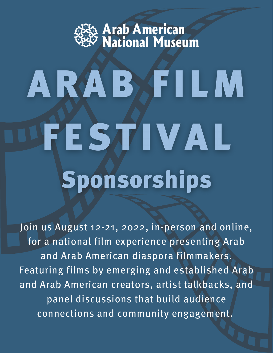

## ARABAFILM FESTIVAL Sponsorships

Join us August 12-21, 2022, in-person and online, for a national film experience presenting Arab and Arab American diaspora filmmakers. Featuring films by emerging and established Arab and Arab American creators, artist talkbacks, and panel discussions that build audience connections and community engagement.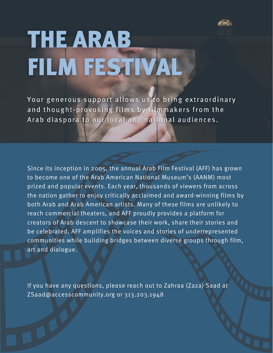

## **THE ARAB** FILM FESTIVAL

Your generous support allows us to bring extraordinary and thought-provoking films by filmmakers from the Arab diaspora to our local and national audiences.

Since its inception in 2005, the annual Arab Film Festival (AFF) has grown to become one of the Arab American National Museum's (AANM) most prized and popular events. Each year, thousands of viewers from across the nation gather to enjoy critically acclaimed and award-winning films by both Arab and Arab American artists. Many of these films are unlikely to reach commercial theaters, and AFF proudly provides a platform for creators of Arab descent to showcase their work, share their stories and be celebrated. AFF amplifies the voices and stories of underrepresented communities while building bridges between diverse groups through film, art and dialogue.

If you have any questions, please reach out to Zahraa (Zaza) Saad at [ZSaad@accesscommunity.org](mailto:ZSaad@accesscommunity.org) or 313.203.1948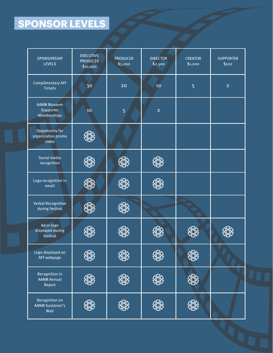## **SPONSOR LEVELS**

| SPONSORSHIP<br><b>LEVELS</b>                      | <b>EXECUTIVE</b><br><b>PRODUCER</b><br>\$10,000 | <b>PRODUCER</b><br>\$5,000 | <b>DIRECTOR</b><br>\$2,500 | <b>CREATOR</b><br>\$1,000 | <b>SUPPORTER</b><br>\$500 |
|---------------------------------------------------|-------------------------------------------------|----------------------------|----------------------------|---------------------------|---------------------------|
| <b>Complimentary AFF</b><br><b>Tickets</b>        | 30                                              | 20                         | 10                         | 5                         | $\overline{2}$            |
| <b>AANM Museum</b><br>Supporter<br>Memberships    | 10 <sub>1</sub>                                 | 5                          | $\overline{2}$             |                           |                           |
| Opportunity for<br>organization promo<br>video    |                                                 |                            |                            |                           |                           |
| Social media<br>recognition                       |                                                 |                            |                            |                           |                           |
| Logo recognition in<br>email                      |                                                 |                            |                            |                           |                           |
| <b>Verbal Recognition</b><br>during festival      |                                                 |                            |                            |                           |                           |
| Ad or logo<br>displayed during<br>festival        |                                                 |                            |                            |                           |                           |
| Logo displayed on<br>AFF webpage                  |                                                 |                            |                            |                           |                           |
| Recognition in<br>AANM Annual<br>Report           |                                                 |                            |                            |                           |                           |
| Recognition on<br><b>AANM Sustainer's</b><br>Wall |                                                 |                            |                            |                           |                           |